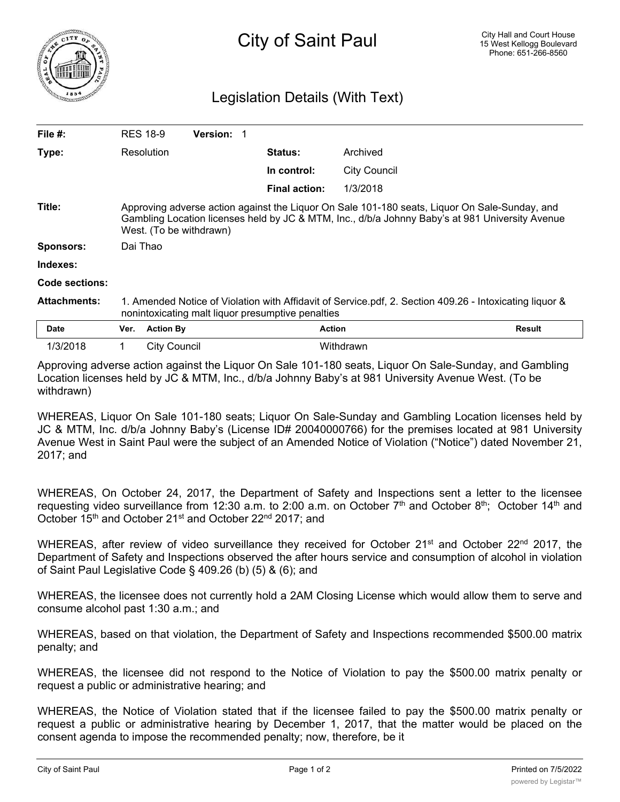

## Legislation Details (With Text)

| File $#$ :          |                                                                                                                                                                                                                             | <b>RES 18-9</b>  | <b>Version:</b> |  |                      |                     |               |
|---------------------|-----------------------------------------------------------------------------------------------------------------------------------------------------------------------------------------------------------------------------|------------------|-----------------|--|----------------------|---------------------|---------------|
| Type:               |                                                                                                                                                                                                                             | Resolution       |                 |  | <b>Status:</b>       | Archived            |               |
|                     |                                                                                                                                                                                                                             |                  |                 |  | In control:          | <b>City Council</b> |               |
|                     |                                                                                                                                                                                                                             |                  |                 |  | <b>Final action:</b> | 1/3/2018            |               |
| Title:              | Approving adverse action against the Liquor On Sale 101-180 seats, Liquor On Sale-Sunday, and<br>Gambling Location licenses held by JC & MTM, Inc., d/b/a Johnny Baby's at 981 University Avenue<br>West. (To be withdrawn) |                  |                 |  |                      |                     |               |
| Sponsors:           | Dai Thao                                                                                                                                                                                                                    |                  |                 |  |                      |                     |               |
| Indexes:            |                                                                                                                                                                                                                             |                  |                 |  |                      |                     |               |
| Code sections:      |                                                                                                                                                                                                                             |                  |                 |  |                      |                     |               |
| <b>Attachments:</b> | 1. Amended Notice of Violation with Affidavit of Service.pdf, 2. Section 409.26 - Intoxicating liquor &<br>nonintoxicating malt liquor presumptive penalties                                                                |                  |                 |  |                      |                     |               |
| <b>Date</b>         | Ver.                                                                                                                                                                                                                        | <b>Action By</b> |                 |  | <b>Action</b>        |                     | <b>Result</b> |
| 1/3/2018            |                                                                                                                                                                                                                             | City Council     |                 |  |                      | Withdrawn           |               |

Approving adverse action against the Liquor On Sale 101-180 seats, Liquor On Sale-Sunday, and Gambling Location licenses held by JC & MTM, Inc., d/b/a Johnny Baby's at 981 University Avenue West. (To be withdrawn)

WHEREAS, Liquor On Sale 101-180 seats; Liquor On Sale-Sunday and Gambling Location licenses held by JC & MTM, Inc. d/b/a Johnny Baby's (License ID# 20040000766) for the premises located at 981 University Avenue West in Saint Paul were the subject of an Amended Notice of Violation ("Notice") dated November 21, 2017; and

WHEREAS, On October 24, 2017, the Department of Safety and Inspections sent a letter to the licensee requesting video surveillance from 12:30 a.m. to 2:00 a.m. on October  $7<sup>th</sup>$  and October 8<sup>th</sup>; October 14<sup>th</sup> and October 15<sup>th</sup> and October 21<sup>st</sup> and October 22<sup>nd</sup> 2017; and

WHEREAS, after review of video surveillance they received for October 21<sup>st</sup> and October 22<sup>nd</sup> 2017, the Department of Safety and Inspections observed the after hours service and consumption of alcohol in violation of Saint Paul Legislative Code § 409.26 (b) (5) & (6); and

WHEREAS, the licensee does not currently hold a 2AM Closing License which would allow them to serve and consume alcohol past 1:30 a.m.; and

WHEREAS, based on that violation, the Department of Safety and Inspections recommended \$500.00 matrix penalty; and

WHEREAS, the licensee did not respond to the Notice of Violation to pay the \$500.00 matrix penalty or request a public or administrative hearing; and

WHEREAS, the Notice of Violation stated that if the licensee failed to pay the \$500.00 matrix penalty or request a public or administrative hearing by December 1, 2017, that the matter would be placed on the consent agenda to impose the recommended penalty; now, therefore, be it